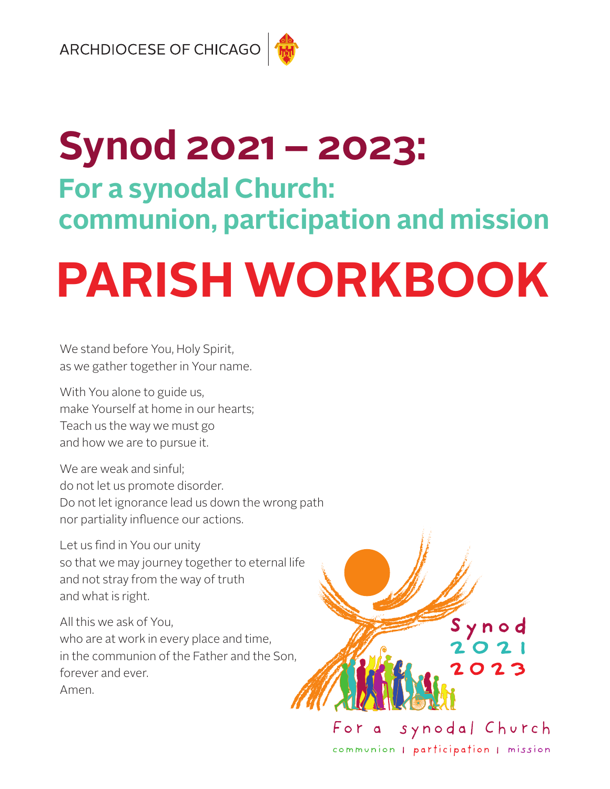# **Synod 2021 – 2023: For a synodal Church: communion, participation and mission**

# **PARISH WORKBOOK**

We stand before You, Holy Spirit, as we gather together in Your name.

With You alone to guide us, make Yourself at home in our hearts; Teach us the way we must go and how we are to pursue it.

We are weak and sinful; do not let us promote disorder. Do not let ignorance lead us down the wrong path nor partiality influence our actions.

Let us find in You our unity so that we may journey together to eternal life and not stray from the way of truth and what is right.

All this we ask of You, who are at work in every place and time, in the communion of the Father and the Son, forever and ever. Amen.



communion | participation | mission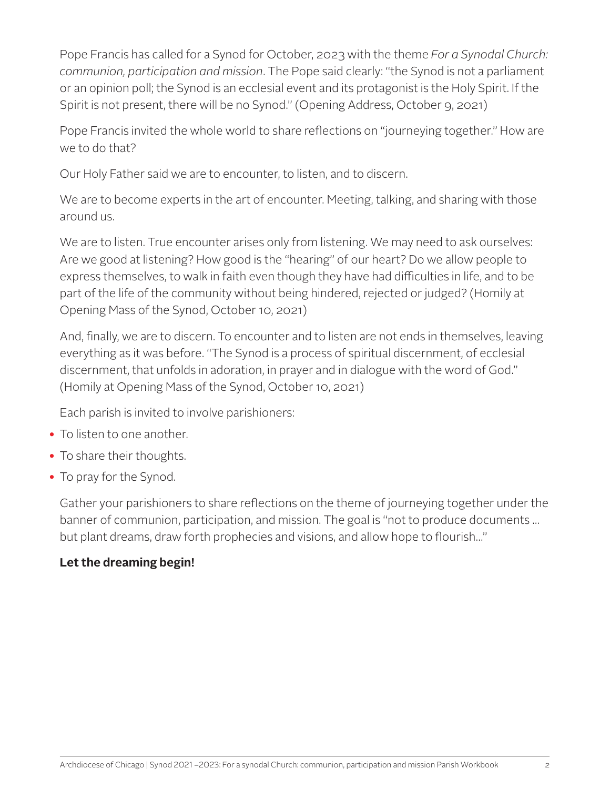Pope Francis has called for a Synod for October, 2023 with the theme *For a Synodal Church: communion, participation and mission*. The Pope said clearly: "the Synod is not a parliament or an opinion poll; the Synod is an ecclesial event and its protagonist is the Holy Spirit. If the Spirit is not present, there will be no Synod." (Opening Address, October 9, 2021)

Pope Francis invited the whole world to share reflections on "journeying together." How are we to do that?

Our Holy Father said we are to encounter, to listen, and to discern.

We are to become experts in the art of encounter. Meeting, talking, and sharing with those around us.

We are to listen. True encounter arises only from listening. We may need to ask ourselves: Are we good at listening? How good is the "hearing" of our heart? Do we allow people to express themselves, to walk in faith even though they have had difficulties in life, and to be part of the life of the community without being hindered, rejected or judged? (Homily at Opening Mass of the Synod, October 10, 2021)

And, finally, we are to discern. To encounter and to listen are not ends in themselves, leaving everything as it was before. "The Synod is a process of spiritual discernment, of ecclesial discernment, that unfolds in adoration, in prayer and in dialogue with the word of God." (Homily at Opening Mass of the Synod, October 10, 2021)

Each parish is invited to involve parishioners:

- To listen to one another.
- To share their thoughts.
- To pray for the Synod.

Gather your parishioners to share reflections on the theme of journeying together under the banner of communion, participation, and mission. The goal is "not to produce documents ... but plant dreams, draw forth prophecies and visions, and allow hope to flourish..."

#### **Let the dreaming begin!**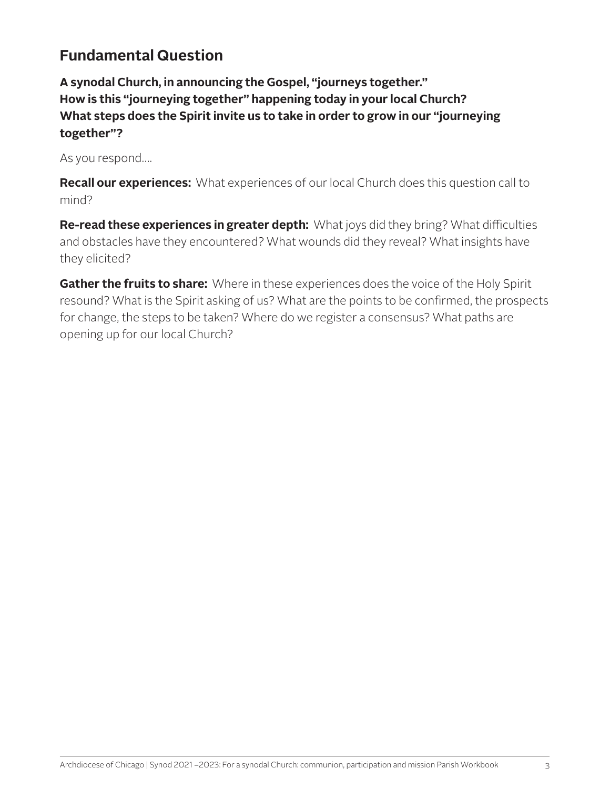#### **Fundamental Question**

**A synodal Church, in announcing the Gospel, "journeys together." How is this "journeying together" happening today in your local Church? What steps does the Spirit invite us to take in order to grow in our "journeying together"?**

As you respond….

**Recall our experiences:** What experiences of our local Church does this question call to mind?

**Re-read these experiences in greater depth:** What joys did they bring? What difficulties and obstacles have they encountered? What wounds did they reveal? What insights have they elicited?

**Gather the fruits to share:** Where in these experiences does the voice of the Holy Spirit resound? What is the Spirit asking of us? What are the points to be confirmed, the prospects for change, the steps to be taken? Where do we register a consensus? What paths are opening up for our local Church?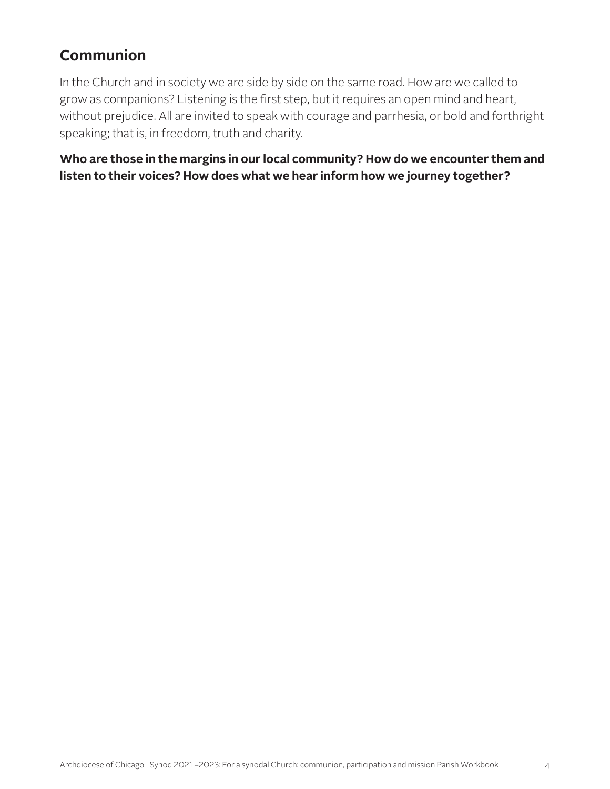#### **Communion**

In the Church and in society we are side by side on the same road. How are we called to grow as companions? Listening is the first step, but it requires an open mind and heart, without prejudice. All are invited to speak with courage and parrhesia, or bold and forthright speaking; that is, in freedom, truth and charity.

**Who are those in the margins in our local community? How do we encounter them and listen to their voices? How does what we hear inform how we journey together?**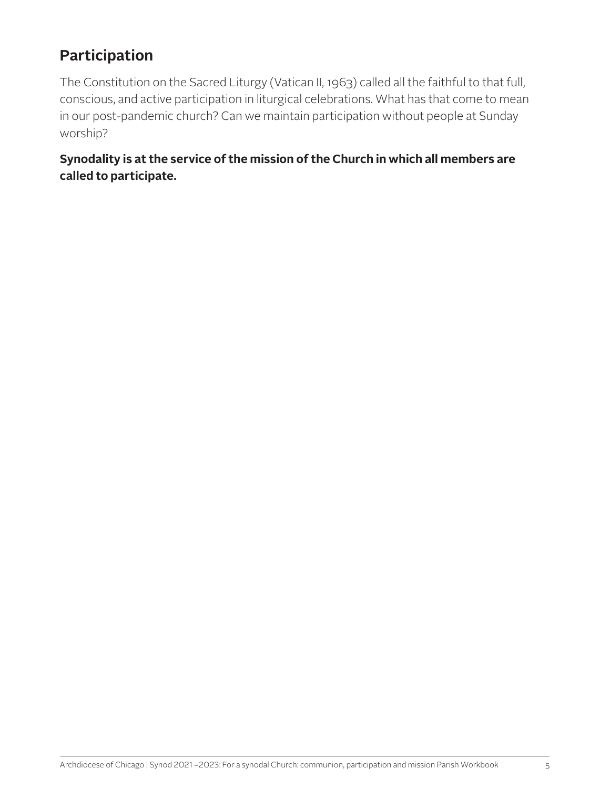### **Participation**

The Constitution on the Sacred Liturgy (Vatican II, 1963) called all the faithful to that full, conscious, and active participation in liturgical celebrations. What has that come to mean in our post-pandemic church? Can we maintain participation without people at Sunday worship?

**Synodality is at the service of the mission of the Church in which all members are called to participate.**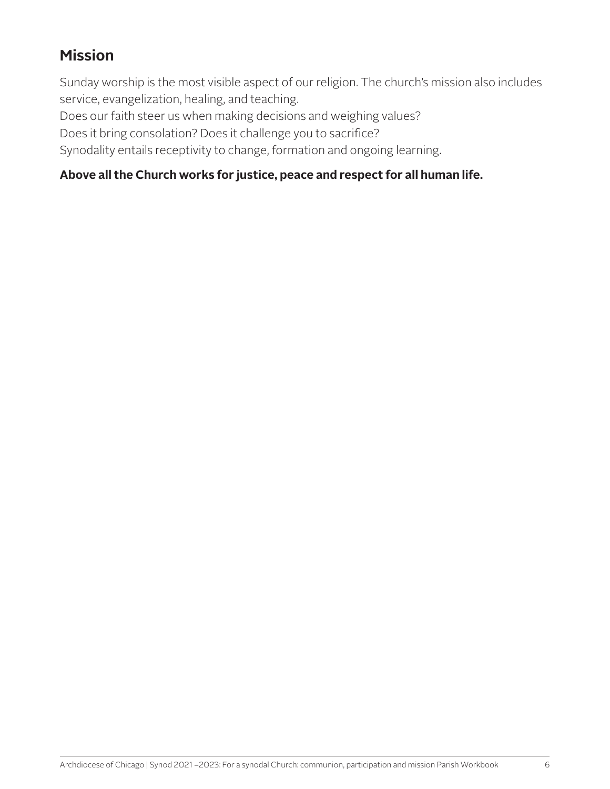#### **Mission**

Sunday worship is the most visible aspect of our religion. The church's mission also includes service, evangelization, healing, and teaching.

Does our faith steer us when making decisions and weighing values?

Does it bring consolation? Does it challenge you to sacrifice?

Synodality entails receptivity to change, formation and ongoing learning.

#### **Above all the Church works for justice, peace and respect for all human life.**